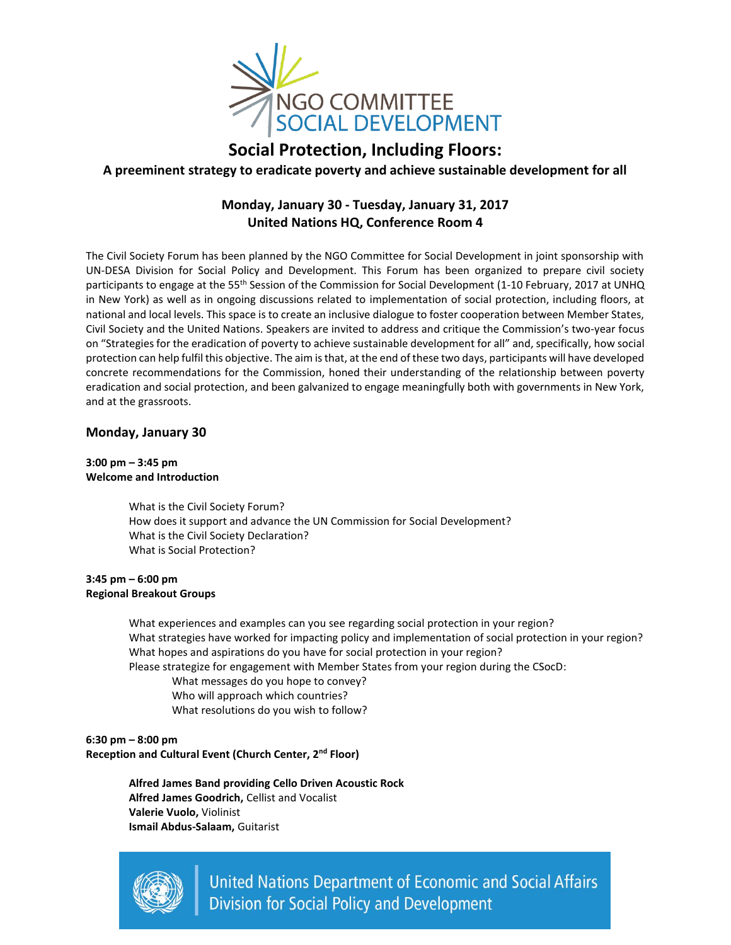

# **Social Protection, Including Floors: A preeminent strategy to eradicate poverty and achieve sustainable development for all**

# **Monday, January 30 - Tuesday, January 31, 2017 United Nations HQ, Conference Room 4**

The Civil Society Forum has been planned by the NGO Committee for Social Development in joint sponsorship with UN-DESA Division for Social Policy and Development. This Forum has been organized to prepare civil society participants to engage at the 55<sup>th</sup> Session of the Commission for Social Development (1-10 February, 2017 at UNHQ in New York) as well as in ongoing discussions related to implementation of social protection, including floors, at national and local levels. This space is to create an inclusive dialogue to foster cooperation between Member States, Civil Society and the United Nations. Speakers are invited to address and critique the Commission's two-year focus on "Strategies for the eradication of poverty to achieve sustainable development for all" and, specifically, how social protection can help fulfil this objective. The aim is that, at the end of these two days, participants will have developed concrete recommendations for the Commission, honed their understanding of the relationship between poverty eradication and social protection, and been galvanized to engage meaningfully both with governments in New York, and at the grassroots.

# **Monday, January 30**

## **3:00 pm – 3:45 pm Welcome and Introduction**

What is the Civil Society Forum? How does it support and advance the UN Commission for Social Development? What is the Civil Society Declaration? What is Social Protection?

## **3:45 pm – 6:00 pm Regional Breakout Groups**

What experiences and examples can you see regarding social protection in your region? What strategies have worked for impacting policy and implementation of social protection in your region? What hopes and aspirations do you have for social protection in your region?

Please strategize for engagement with Member States from your region during the CSocD:

What messages do you hope to convey? Who will approach which countries?

What resolutions do you wish to follow?

**6:30 pm – 8:00 pm Reception and Cultural Event (Church Center, 2nd Floor)**

> **Alfred James Band providing Cello Driven Acoustic Rock Alfred James Goodrich,** Cellist and Vocalist **Valerie Vuolo,** Violinist **Ismail Abdus-Salaam,** Guitarist



**United Nations Department of Economic and Social Affairs Division for Social Policy and Development**